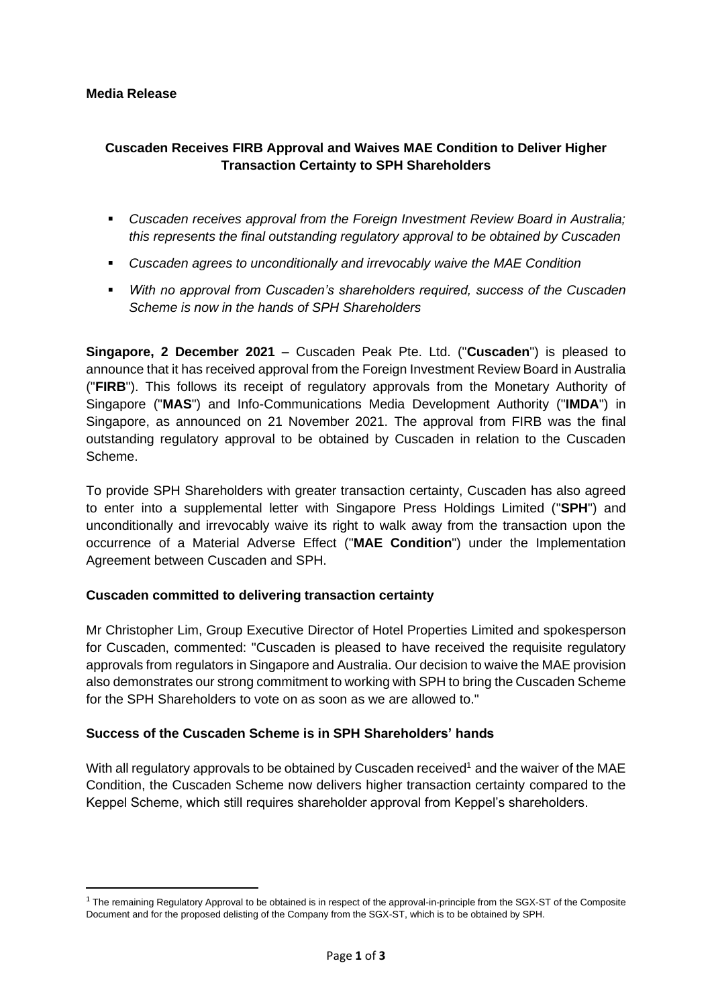#### **Media Release**

# **Cuscaden Receives FIRB Approval and Waives MAE Condition to Deliver Higher Transaction Certainty to SPH Shareholders**

- *Cuscaden receives approval from the Foreign Investment Review Board in Australia; this represents the final outstanding regulatory approval to be obtained by Cuscaden*
- *Cuscaden agrees to unconditionally and irrevocably waive the MAE Condition*
- *With no approval from Cuscaden's shareholders required, success of the Cuscaden Scheme is now in the hands of SPH Shareholders*

**Singapore, 2 December 2021** – Cuscaden Peak Pte. Ltd. ("**Cuscaden**") is pleased to announce that it has received approval from the Foreign Investment Review Board in Australia ("**FIRB**"). This follows its receipt of regulatory approvals from the Monetary Authority of Singapore ("**MAS**") and Info-Communications Media Development Authority ("**IMDA**") in Singapore, as announced on 21 November 2021. The approval from FIRB was the final outstanding regulatory approval to be obtained by Cuscaden in relation to the Cuscaden Scheme.

To provide SPH Shareholders with greater transaction certainty, Cuscaden has also agreed to enter into a supplemental letter with Singapore Press Holdings Limited ("**SPH**") and unconditionally and irrevocably waive its right to walk away from the transaction upon the occurrence of a Material Adverse Effect ("**MAE Condition**") under the Implementation Agreement between Cuscaden and SPH.

### **Cuscaden committed to delivering transaction certainty**

Mr Christopher Lim, Group Executive Director of Hotel Properties Limited and spokesperson for Cuscaden, commented: "Cuscaden is pleased to have received the requisite regulatory approvals from regulators in Singapore and Australia. Our decision to waive the MAE provision also demonstrates our strong commitment to working with SPH to bring the Cuscaden Scheme for the SPH Shareholders to vote on as soon as we are allowed to."

### **Success of the Cuscaden Scheme is in SPH Shareholders' hands**

With all regulatory approvals to be obtained by Cuscaden received<sup>1</sup> and the waiver of the MAE Condition, the Cuscaden Scheme now delivers higher transaction certainty compared to the Keppel Scheme, which still requires shareholder approval from Keppel's shareholders.

 $1$  The remaining Regulatory Approval to be obtained is in respect of the approval-in-principle from the SGX-ST of the Composite Document and for the proposed delisting of the Company from the SGX-ST, which is to be obtained by SPH.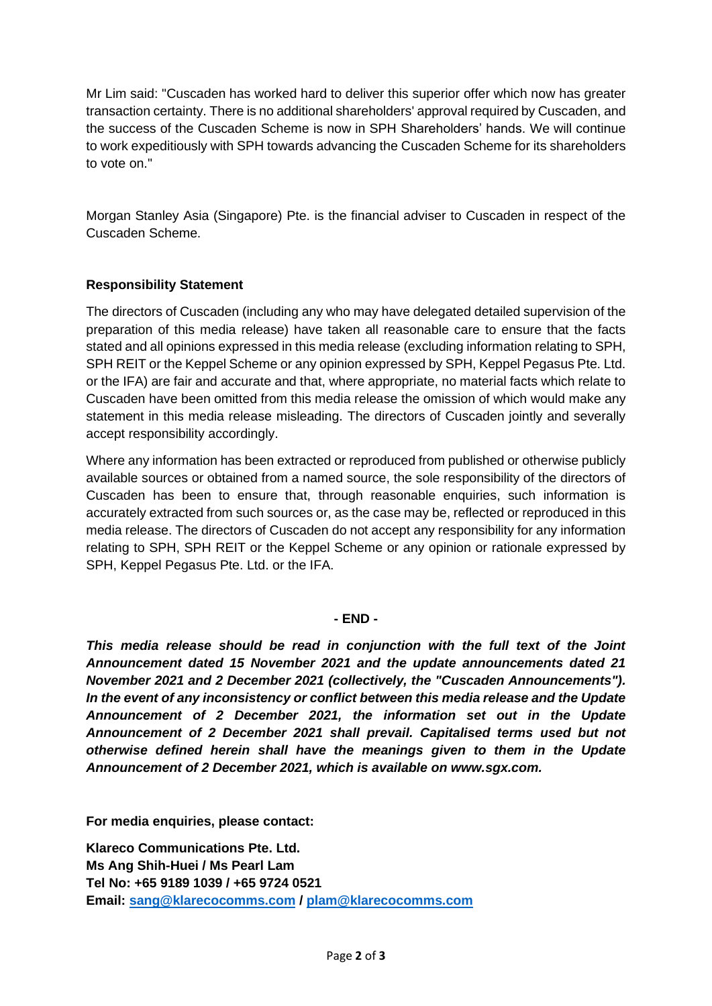Mr Lim said: "Cuscaden has worked hard to deliver this superior offer which now has greater transaction certainty. There is no additional shareholders' approval required by Cuscaden, and the success of the Cuscaden Scheme is now in SPH Shareholders' hands. We will continue to work expeditiously with SPH towards advancing the Cuscaden Scheme for its shareholders to vote on."

Morgan Stanley Asia (Singapore) Pte. is the financial adviser to Cuscaden in respect of the Cuscaden Scheme.

## **Responsibility Statement**

The directors of Cuscaden (including any who may have delegated detailed supervision of the preparation of this media release) have taken all reasonable care to ensure that the facts stated and all opinions expressed in this media release (excluding information relating to SPH, SPH REIT or the Keppel Scheme or any opinion expressed by SPH, Keppel Pegasus Pte. Ltd. or the IFA) are fair and accurate and that, where appropriate, no material facts which relate to Cuscaden have been omitted from this media release the omission of which would make any statement in this media release misleading. The directors of Cuscaden jointly and severally accept responsibility accordingly.

Where any information has been extracted or reproduced from published or otherwise publicly available sources or obtained from a named source, the sole responsibility of the directors of Cuscaden has been to ensure that, through reasonable enquiries, such information is accurately extracted from such sources or, as the case may be, reflected or reproduced in this media release. The directors of Cuscaden do not accept any responsibility for any information relating to SPH, SPH REIT or the Keppel Scheme or any opinion or rationale expressed by SPH, Keppel Pegasus Pte. Ltd. or the IFA.

### **- END -**

*This media release should be read in conjunction with the full text of the Joint Announcement dated 15 November 2021 and the update announcements dated 21 November 2021 and 2 December 2021 (collectively, the "Cuscaden Announcements"). In the event of any inconsistency or conflict between this media release and the Update Announcement of 2 December 2021, the information set out in the Update Announcement of 2 December 2021 shall prevail. Capitalised terms used but not otherwise defined herein shall have the meanings given to them in the Update Announcement of 2 December 2021, which is available on www.sgx.com.*

**For media enquiries, please contact:** 

**Klareco Communications Pte. Ltd. Ms Ang Shih-Huei / Ms Pearl Lam Tel No: +65 9189 1039 / +65 9724 0521 Email: [sang@klarecocomms.com](mailto:sang@klarecocomms.com) / [plam@klarecocomms.com](mailto:plam@klarecocomms.com)**